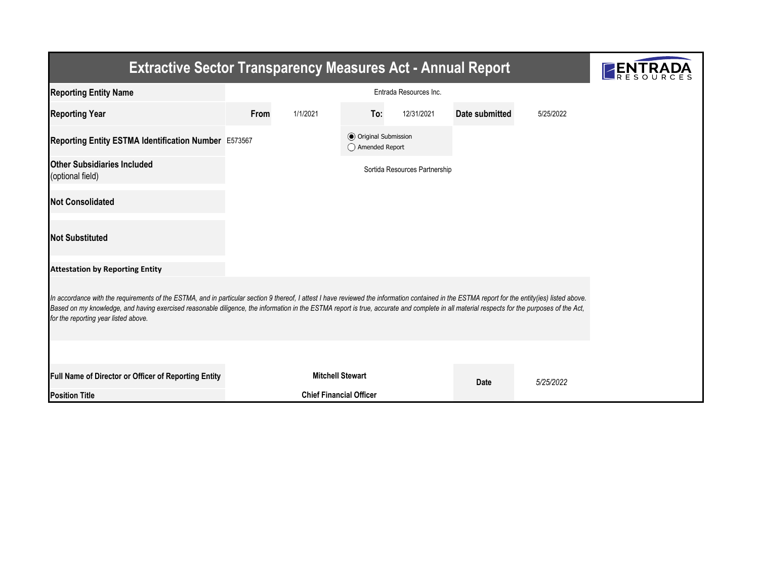| <b>Extractive Sector Transparency Measures Act - Annual Report</b>                                                                                                                                                                                                                                                                                                                                                                    |                        |                                |                                                  |                               |                |           |  |  |  |  |
|---------------------------------------------------------------------------------------------------------------------------------------------------------------------------------------------------------------------------------------------------------------------------------------------------------------------------------------------------------------------------------------------------------------------------------------|------------------------|--------------------------------|--------------------------------------------------|-------------------------------|----------------|-----------|--|--|--|--|
| <b>Reporting Entity Name</b>                                                                                                                                                                                                                                                                                                                                                                                                          | Entrada Resources Inc. |                                |                                                  |                               |                |           |  |  |  |  |
| <b>Reporting Year</b>                                                                                                                                                                                                                                                                                                                                                                                                                 | From<br>1/1/2021       |                                | To:                                              | 12/31/2021                    | Date submitted | 5/25/2022 |  |  |  |  |
| Reporting Entity ESTMA Identification Number E573567                                                                                                                                                                                                                                                                                                                                                                                  |                        |                                | <b>●</b> Original Submission<br>◯ Amended Report |                               |                |           |  |  |  |  |
| <b>Other Subsidiaries Included</b><br>(optional field)                                                                                                                                                                                                                                                                                                                                                                                |                        |                                |                                                  | Sortida Resources Partnership |                |           |  |  |  |  |
| <b>Not Consolidated</b>                                                                                                                                                                                                                                                                                                                                                                                                               |                        |                                |                                                  |                               |                |           |  |  |  |  |
| <b>Not Substituted</b>                                                                                                                                                                                                                                                                                                                                                                                                                |                        |                                |                                                  |                               |                |           |  |  |  |  |
| <b>Attestation by Reporting Entity</b>                                                                                                                                                                                                                                                                                                                                                                                                |                        |                                |                                                  |                               |                |           |  |  |  |  |
| In accordance with the requirements of the ESTMA, and in particular section 9 thereof, I attest I have reviewed the information contained in the ESTMA report for the entity(ies) listed above.<br>Based on my knowledge, and having exercised reasonable diligence, the information in the ESTMA report is true, accurate and complete in all material respects for the purposes of the Act,<br>for the reporting year listed above. |                        |                                |                                                  |                               |                |           |  |  |  |  |
|                                                                                                                                                                                                                                                                                                                                                                                                                                       |                        |                                |                                                  |                               |                |           |  |  |  |  |
| Full Name of Director or Officer of Reporting Entity                                                                                                                                                                                                                                                                                                                                                                                  |                        | <b>Mitchell Stewart</b>        |                                                  |                               |                | 5/25/2022 |  |  |  |  |
| <b>Position Title</b>                                                                                                                                                                                                                                                                                                                                                                                                                 |                        | <b>Chief Financial Officer</b> |                                                  |                               | Date           |           |  |  |  |  |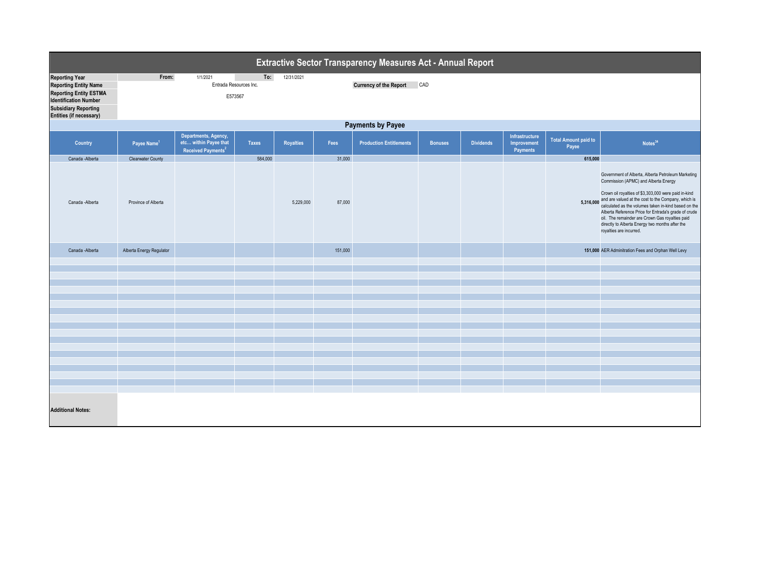| Extractive Sector Transparency Measures Act - Annual Report                                                                                                                      |                                                                                                                     |                                                                                 |              |                  |         |                                |                |                  |                                           |                                      |                                                                                                                                                                                                                                                                                                                                                                                                                                                                      |  |
|----------------------------------------------------------------------------------------------------------------------------------------------------------------------------------|---------------------------------------------------------------------------------------------------------------------|---------------------------------------------------------------------------------|--------------|------------------|---------|--------------------------------|----------------|------------------|-------------------------------------------|--------------------------------------|----------------------------------------------------------------------------------------------------------------------------------------------------------------------------------------------------------------------------------------------------------------------------------------------------------------------------------------------------------------------------------------------------------------------------------------------------------------------|--|
| <b>Reporting Year</b><br><b>Reporting Entity Name</b><br><b>Reporting Entity ESTMA</b><br><b>Identification Number</b><br><b>Subsidiary Reporting</b><br>Entities (if necessary) | From:<br>1/1/2021<br>To:<br>12/31/2021<br>CAD<br><b>Currency of the Report</b><br>Entrada Resources Inc.<br>E573567 |                                                                                 |              |                  |         |                                |                |                  |                                           |                                      |                                                                                                                                                                                                                                                                                                                                                                                                                                                                      |  |
|                                                                                                                                                                                  | <b>Payments by Payee</b>                                                                                            |                                                                                 |              |                  |         |                                |                |                  |                                           |                                      |                                                                                                                                                                                                                                                                                                                                                                                                                                                                      |  |
| Country                                                                                                                                                                          | Payee Name <sup>1</sup>                                                                                             | Departments, Agency,<br>etc within Payee that<br>Received Payments <sup>2</sup> | <b>Taxes</b> | <b>Royalties</b> | Fees    | <b>Production Entitlements</b> | <b>Bonuses</b> | <b>Dividends</b> | Infrastructure<br>Improvement<br>Payments | <b>Total Amount paid to</b><br>Payee | Notes <sup>34</sup>                                                                                                                                                                                                                                                                                                                                                                                                                                                  |  |
| Canada -Alberta                                                                                                                                                                  | <b>Clearwater County</b>                                                                                            |                                                                                 | 584,000      |                  | 31,000  |                                |                |                  |                                           | 615,000                              |                                                                                                                                                                                                                                                                                                                                                                                                                                                                      |  |
| Canada -Alberta                                                                                                                                                                  | Province of Alberta                                                                                                 |                                                                                 |              | 5,229,000        | 87,000  |                                |                |                  |                                           |                                      | Government of Alberta, Alberta Petroleum Marketing<br>Commission (APMC) and Alberta Energy<br>Crown oil royalties of \$3,303,000 were paid in-kind<br>5,316,000 and are valued at the cost to the Company, which is<br>calculated as the volumes taken in-kind based on the<br>Alberta Reference Price for Entrada's grade of crude<br>oil. The remainder are Crown Gas royalties paid<br>directly to Alberta Energy two months after the<br>royalties are incurred. |  |
| Canada -Alberta                                                                                                                                                                  | Alberta Energy Regulator                                                                                            |                                                                                 |              |                  | 151,000 |                                |                |                  |                                           |                                      | 151,000 AER Adminitration Fees and Orphan Well Levy                                                                                                                                                                                                                                                                                                                                                                                                                  |  |
|                                                                                                                                                                                  |                                                                                                                     |                                                                                 |              |                  |         |                                |                |                  |                                           |                                      |                                                                                                                                                                                                                                                                                                                                                                                                                                                                      |  |
|                                                                                                                                                                                  |                                                                                                                     |                                                                                 |              |                  |         |                                |                |                  |                                           |                                      |                                                                                                                                                                                                                                                                                                                                                                                                                                                                      |  |
|                                                                                                                                                                                  |                                                                                                                     |                                                                                 |              |                  |         |                                |                |                  |                                           |                                      |                                                                                                                                                                                                                                                                                                                                                                                                                                                                      |  |
|                                                                                                                                                                                  |                                                                                                                     |                                                                                 |              |                  |         |                                |                |                  |                                           |                                      |                                                                                                                                                                                                                                                                                                                                                                                                                                                                      |  |
|                                                                                                                                                                                  |                                                                                                                     |                                                                                 |              |                  |         |                                |                |                  |                                           |                                      |                                                                                                                                                                                                                                                                                                                                                                                                                                                                      |  |
|                                                                                                                                                                                  |                                                                                                                     |                                                                                 |              |                  |         |                                |                |                  |                                           |                                      |                                                                                                                                                                                                                                                                                                                                                                                                                                                                      |  |
|                                                                                                                                                                                  |                                                                                                                     |                                                                                 |              |                  |         |                                |                |                  |                                           |                                      |                                                                                                                                                                                                                                                                                                                                                                                                                                                                      |  |
|                                                                                                                                                                                  |                                                                                                                     |                                                                                 |              |                  |         |                                |                |                  |                                           |                                      |                                                                                                                                                                                                                                                                                                                                                                                                                                                                      |  |
|                                                                                                                                                                                  |                                                                                                                     |                                                                                 |              |                  |         |                                |                |                  |                                           |                                      |                                                                                                                                                                                                                                                                                                                                                                                                                                                                      |  |
|                                                                                                                                                                                  |                                                                                                                     |                                                                                 |              |                  |         |                                |                |                  |                                           |                                      |                                                                                                                                                                                                                                                                                                                                                                                                                                                                      |  |
|                                                                                                                                                                                  |                                                                                                                     |                                                                                 |              |                  |         |                                |                |                  |                                           |                                      |                                                                                                                                                                                                                                                                                                                                                                                                                                                                      |  |
|                                                                                                                                                                                  |                                                                                                                     |                                                                                 |              |                  |         |                                |                |                  |                                           |                                      |                                                                                                                                                                                                                                                                                                                                                                                                                                                                      |  |
|                                                                                                                                                                                  |                                                                                                                     |                                                                                 |              |                  |         |                                |                |                  |                                           |                                      |                                                                                                                                                                                                                                                                                                                                                                                                                                                                      |  |
|                                                                                                                                                                                  |                                                                                                                     |                                                                                 |              |                  |         |                                |                |                  |                                           |                                      |                                                                                                                                                                                                                                                                                                                                                                                                                                                                      |  |
|                                                                                                                                                                                  |                                                                                                                     |                                                                                 |              |                  |         |                                |                |                  |                                           |                                      |                                                                                                                                                                                                                                                                                                                                                                                                                                                                      |  |
| <b>Additional Notes:</b>                                                                                                                                                         |                                                                                                                     |                                                                                 |              |                  |         |                                |                |                  |                                           |                                      |                                                                                                                                                                                                                                                                                                                                                                                                                                                                      |  |